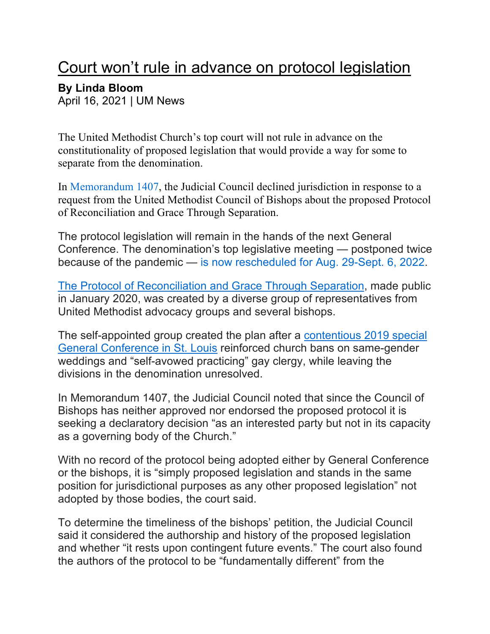## Court won't rule in advance on protocol legislation

## **By Linda Bloom**

April 16, 2021 | UM News

The United Methodist Church's top court will not rule in advance on the constitutionality of proposed legislation that would provide a way for some to separate from the denomination.

In Memorandum 1407, the Judicial Council declined jurisdiction in response to a request from the United Methodist Council of Bishops about the proposed Protocol of Reconciliation and Grace Through Separation.

The protocol legislation will remain in the hands of the next General Conference. The denomination's top legislative meeting — postponed twice because of the pandemic — is now rescheduled for Aug. 29-Sept. 6, 2022.

The Protocol of Reconciliation and Grace Through Separation, made public in January 2020, was created by a diverse group of representatives from United Methodist advocacy groups and several bishops.

The self-appointed group created the plan after a contentious 2019 special General Conference in St. Louis reinforced church bans on same-gender weddings and "self-avowed practicing" gay clergy, while leaving the divisions in the denomination unresolved.

In Memorandum 1407, the Judicial Council noted that since the Council of Bishops has neither approved nor endorsed the proposed protocol it is seeking a declaratory decision "as an interested party but not in its capacity as a governing body of the Church."

With no record of the protocol being adopted either by General Conference or the bishops, it is "simply proposed legislation and stands in the same position for jurisdictional purposes as any other proposed legislation" not adopted by those bodies, the court said.

To determine the timeliness of the bishops' petition, the Judicial Council said it considered the authorship and history of the proposed legislation and whether "it rests upon contingent future events." The court also found the authors of the protocol to be "fundamentally different" from the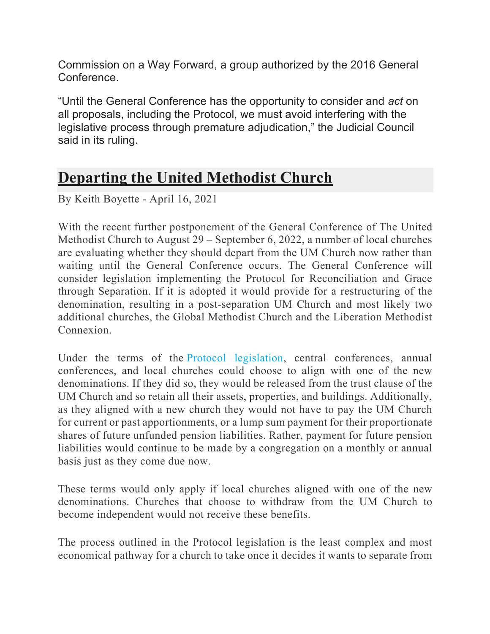Commission on a Way Forward, a group authorized by the 2016 General Conference.

"Until the General Conference has the opportunity to consider and *act* on all proposals, including the Protocol, we must avoid interfering with the legislative process through premature adjudication," the Judicial Council said in its ruling.

## **Departing the United Methodist Church**

By Keith Boyette - April 16, 2021

With the recent further postponement of the General Conference of The United Methodist Church to August 29 – September 6, 2022, a number of local churches are evaluating whether they should depart from the UM Church now rather than waiting until the General Conference occurs. The General Conference will consider legislation implementing the Protocol for Reconciliation and Grace through Separation. If it is adopted it would provide for a restructuring of the denomination, resulting in a post-separation UM Church and most likely two additional churches, the Global Methodist Church and the Liberation Methodist Connexion.

Under the terms of the Protocol legislation, central conferences, annual conferences, and local churches could choose to align with one of the new denominations. If they did so, they would be released from the trust clause of the UM Church and so retain all their assets, properties, and buildings. Additionally, as they aligned with a new church they would not have to pay the UM Church for current or past apportionments, or a lump sum payment for their proportionate shares of future unfunded pension liabilities. Rather, payment for future pension liabilities would continue to be made by a congregation on a monthly or annual basis just as they come due now.

These terms would only apply if local churches aligned with one of the new denominations. Churches that choose to withdraw from the UM Church to become independent would not receive these benefits.

The process outlined in the Protocol legislation is the least complex and most economical pathway for a church to take once it decides it wants to separate from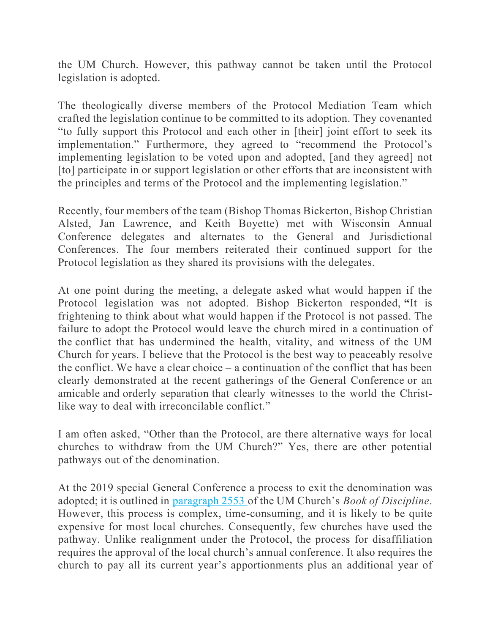the UM Church. However, this pathway cannot be taken until the Protocol legislation is adopted.

The theologically diverse members of the Protocol Mediation Team which crafted the legislation continue to be committed to its adoption. They covenanted "to fully support this Protocol and each other in [their] joint effort to seek its implementation." Furthermore, they agreed to "recommend the Protocol's implementing legislation to be voted upon and adopted, [and they agreed] not [to] participate in or support legislation or other efforts that are inconsistent with the principles and terms of the Protocol and the implementing legislation."

Recently, four members of the team (Bishop Thomas Bickerton, Bishop Christian Alsted, Jan Lawrence, and Keith Boyette) met with Wisconsin Annual Conference delegates and alternates to the General and Jurisdictional Conferences. The four members reiterated their continued support for the Protocol legislation as they shared its provisions with the delegates.

At one point during the meeting, a delegate asked what would happen if the Protocol legislation was not adopted. Bishop Bickerton responded, **"**It is frightening to think about what would happen if the Protocol is not passed. The failure to adopt the Protocol would leave the church mired in a continuation of the conflict that has undermined the health, vitality, and witness of the UM Church for years. I believe that the Protocol is the best way to peaceably resolve the conflict. We have a clear choice – a continuation of the conflict that has been clearly demonstrated at the recent gatherings of the General Conference or an amicable and orderly separation that clearly witnesses to the world the Christlike way to deal with irreconcilable conflict."

I am often asked, "Other than the Protocol, are there alternative ways for local churches to withdraw from the UM Church?" Yes, there are other potential pathways out of the denomination.

At the 2019 special General Conference a process to exit the denomination was adopted; it is outlined in paragraph 2553 of the UM Church's *Book of Discipline*. However, this process is complex, time-consuming, and it is likely to be quite expensive for most local churches. Consequently, few churches have used the pathway. Unlike realignment under the Protocol, the process for disaffiliation requires the approval of the local church's annual conference. It also requires the church to pay all its current year's apportionments plus an additional year of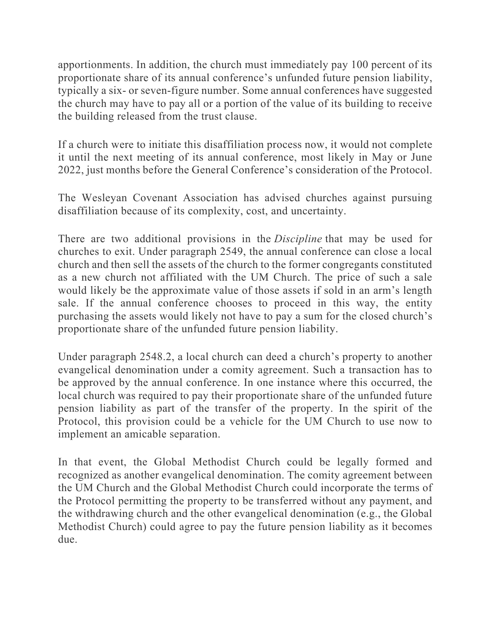apportionments. In addition, the church must immediately pay 100 percent of its proportionate share of its annual conference's unfunded future pension liability, typically a six- or seven-figure number. Some annual conferences have suggested the church may have to pay all or a portion of the value of its building to receive the building released from the trust clause.

If a church were to initiate this disaffiliation process now, it would not complete it until the next meeting of its annual conference, most likely in May or June 2022, just months before the General Conference's consideration of the Protocol.

The Wesleyan Covenant Association has advised churches against pursuing disaffiliation because of its complexity, cost, and uncertainty.

There are two additional provisions in the *Discipline* that may be used for churches to exit. Under paragraph 2549, the annual conference can close a local church and then sell the assets of the church to the former congregants constituted as a new church not affiliated with the UM Church. The price of such a sale would likely be the approximate value of those assets if sold in an arm's length sale. If the annual conference chooses to proceed in this way, the entity purchasing the assets would likely not have to pay a sum for the closed church's proportionate share of the unfunded future pension liability.

Under paragraph 2548.2, a local church can deed a church's property to another evangelical denomination under a comity agreement. Such a transaction has to be approved by the annual conference. In one instance where this occurred, the local church was required to pay their proportionate share of the unfunded future pension liability as part of the transfer of the property. In the spirit of the Protocol, this provision could be a vehicle for the UM Church to use now to implement an amicable separation.

In that event, the Global Methodist Church could be legally formed and recognized as another evangelical denomination. The comity agreement between the UM Church and the Global Methodist Church could incorporate the terms of the Protocol permitting the property to be transferred without any payment, and the withdrawing church and the other evangelical denomination (e.g., the Global Methodist Church) could agree to pay the future pension liability as it becomes due.